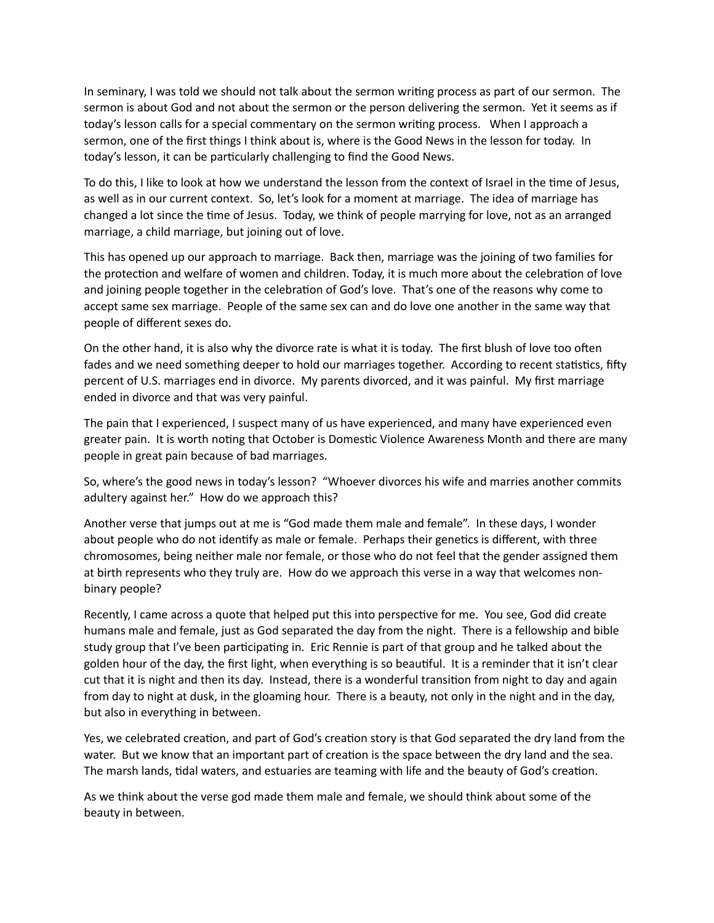In seminary, I was told we should not talk about the sermon writing process as part of our sermon. The sermon is about God and not about the sermon or the person delivering the sermon. Yet it seems as if today's lesson calls for a special commentary on the sermon writing process. When I approach a sermon, one of the first things I think about is, where is the Good News in the lesson for today. In today's lesson, it can be particularly challenging to find the Good News.

To do this, I like to look at how we understand the lesson from the context of Israel in the time of Jesus, as well as in our current context. So, let's look for a moment at marriage. The idea of marriage has changed a lot since the time of Jesus. Today, we think of people marrying for love, not as an arranged marriage, a child marriage, but joining out of love.

This has opened up our approach to marriage. Back then, marriage was the joining of two families for the protection and welfare of women and children. Today, it is much more about the celebration of love and joining people together in the celebration of God's love. That's one of the reasons why come to accept same sex marriage. People of the same sex can and do love one another in the same way that people of different sexes do.

On the other hand, it is also why the divorce rate is what it is today. The first blush of love too often fades and we need something deeper to hold our marriages together. According to recent statistics, fifty percent of U.S. marriages end in divorce. My parents divorced, and it was painful. My first marriage ended in divorce and that was very painful.

The pain that I experienced, I suspect many of us have experienced, and many have experienced even greater pain. It is worth noting that October is Domestic Violence Awareness Month and there are many people in great pain because of bad marriages.

So, where's the good news in today's lesson? "Whoever divorces his wife and marries another commits adultery against her." How do we approach this?

Another verse that jumps out at me is "God made them male and female". In these days, I wonder about people who do not identify as male or female. Perhaps their genetics is different, with three chromosomes, being neither male nor female, or those who do not feel that the gender assigned them at birth represents who they truly are. How do we approach this verse in a way that welcomes nonbinary people?

Recently, I came across a quote that helped put this into perspective for me. You see, God did create humans male and female, just as God separated the day from the night. There is a fellowship and bible study group that I've been participating in. Eric Rennie is part of that group and he talked about the golden hour of the day, the first light, when everything is so beautiful. It is a reminder that it isn't clear cut that it is night and then its day. Instead, there is a wonderful transition from night to day and again from day to night at dusk, in the gloaming hour. There is a beauty, not only in the night and in the day, but also in everything in between.

Yes, we celebrated creation, and part of God's creation story is that God separated the dry land from the water. But we know that an important part of creation is the space between the dry land and the sea. The marsh lands, tidal waters, and estuaries are teaming with life and the beauty of God's creation.

As we think about the verse god made them male and female, we should think about some of the beauty in between.